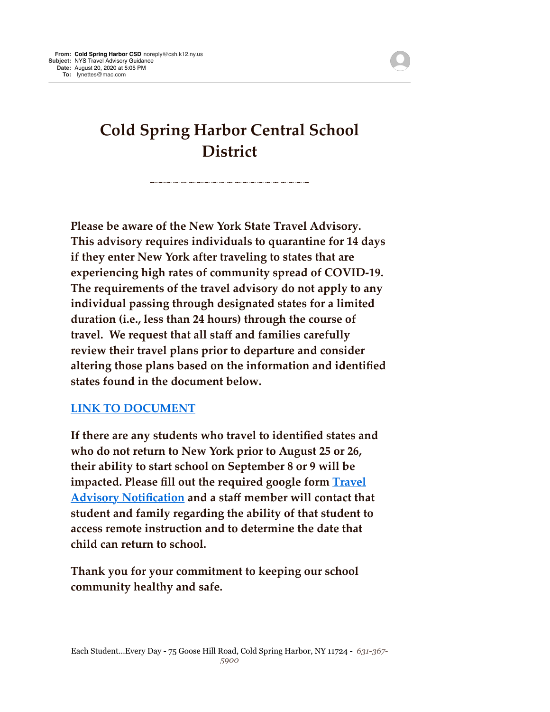## **Cold Spring Harbor Central School District**

**Please be aware of the New York State Travel Advisory. This advisory requires individuals to quarantine for 14 days if they enter New York after traveling to states that are experiencing high rates of community spread of COVID-19. The requirements of the travel advisory do not apply to any individual passing through designated states for a limited duration (i.e., less than 24 hours) through the course of travel. We request that all staff and families carefully review their travel plans prior to departure and consider altering those plans based on the information and identified states found in the document below.** 

## **[LINK TO DOCUMENT](http://track.spe.schoolmessenger.com/f/a/SFePJk4T-13zjpRdZ2l0UA~~/AAAAAQA~/RgRhIBkPP0Q6aHR0cHM6Ly9jb3JvbmF2aXJ1cy5oZWFsdGgubnkuZ292L2NvdmlkLTE5LXRyYXZlbC1hZHZpc29yeVcHc2Nob29sbUIKAEiP5T5foVPb8lIQbHluZXR0ZXNAbWFjLmNvbVgEAAAAAQ~~)**

**If there are any students who travel to identified states and who do not return to New York prior to August 25 or 26, their ability to start school on September 8 or 9 will be impacted. Please fill out the required google form Travel [Advisory Notification and a staff member will contact tha](http://track.spe.schoolmessenger.com/f/a/TBV6dRKmJDp5-VL8Ez5RMQ~~/AAAAAQA~/RgRhIBkPP0RvaHR0cHM6Ly9kb2NzLmdvb2dsZS5jb20vZm9ybXMvZC9lLzFGQUlwUUxTZThzV1FMTDVCXy04cjREWk9RYWdSUUplcXNWbXYyRW05VzUzNnc1LUh6ZzV4TnRnL3ZpZXdmb3JtP3VzcD1zZl9saW5rVwdzY2hvb2xtQgoASI_lPl-hU9vyUhBseW5ldHRlc0BtYWMuY29tWAQAAAAB)t student and family regarding the ability of that student to access remote instruction and to determine the date that child can return to school.**

**Thank you for your commitment to keeping our school community healthy and safe.**